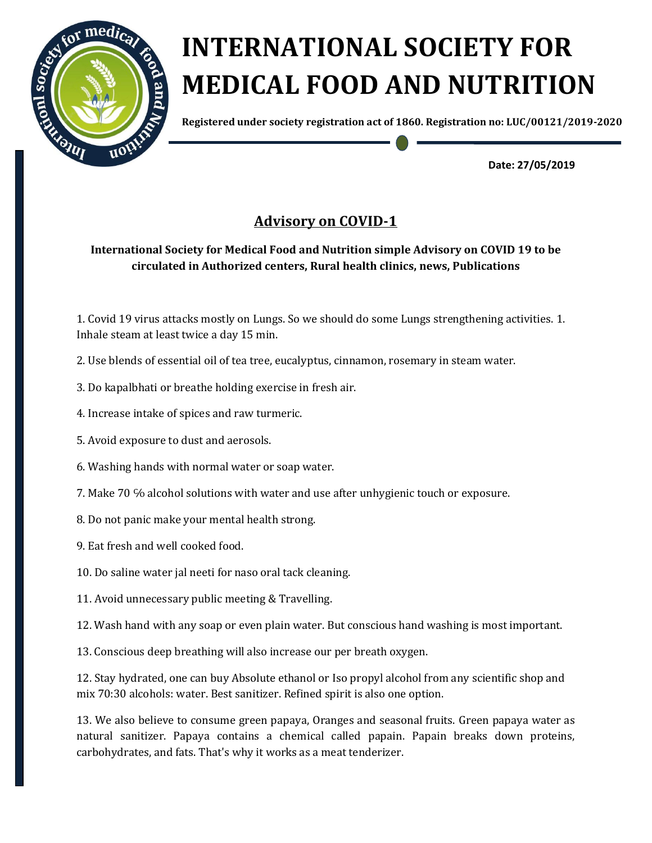

## **INTERNATIONAL SOCIETY FOR MEDICAL FOOD AND NUTRITION**

**Registered under society registration act of 1860. Registration no: LUC/00121/2019-2020**

 **Date: 27/05/2019**

## **Advisory on COVID-1**

**International Society for Medical Food and Nutrition simple Advisory on COVID 19 to be circulated in Authorized centers, Rural health clinics, news, Publications**

1. Covid 19 virus attacks mostly on Lungs. So we should do some Lungs strengthening activities. 1. Inhale steam at least twice a day 15 min.

2. Use blends of essential oil of tea tree, eucalyptus, cinnamon, rosemary in steam water.

3. Do kapalbhati or breathe holding exercise in fresh air.

4. Increase intake of spices and raw turmeric.

5. Avoid exposure to dust and aerosols.

6. Washing hands with normal water or soap water.

7. Make 70 ℅ alcohol solutions with water and use after unhygienic touch or exposure.

8. Do not panic make your mental health strong.

9. Eat fresh and well cooked food.

10. Do saline water jal neeti for naso oral tack cleaning.

11. Avoid unnecessary public meeting & Travelling.

12. Wash hand with any soap or even plain water. But conscious hand washing is most important.

13. Conscious deep breathing will also increase our per breath oxygen.

12. Stay hydrated, one can buy Absolute ethanol or Iso propyl alcohol from any scientific shop and mix 70:30 alcohols: water. Best sanitizer. Refined spirit is also one option.

13. We also believe to consume green papaya, Oranges and seasonal fruits. Green papaya water as natural sanitizer. Papaya contains a chemical called papain. Papain breaks down proteins, carbohydrates, and fats. That's why it works as a meat tenderizer.